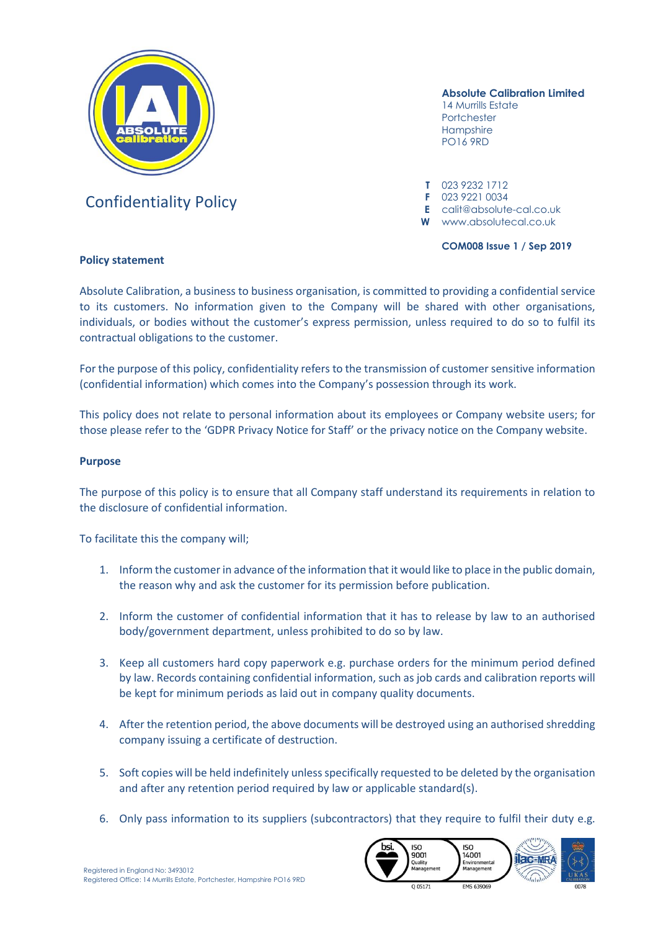

# Confidentiality Policy **<sup>F</sup>** 023 9221 0034

# **Absolute Calibration Limited**

14 Murrills Estate Portchester **Hampshire** PO16 9RD

**T** 023 9232 1712

**E** calit@absolute-cal.co.uk

**W** www.absolutecal.co.uk

**COM008 Issue 1 / Sep 2019**

# **Policy statement**

Absolute Calibration, a business to business organisation, is committed to providing a confidential service to its customers. No information given to the Company will be shared with other organisations, individuals, or bodies without the customer's express permission, unless required to do so to fulfil its contractual obligations to the customer.

For the purpose of this policy, confidentiality refers to the transmission of customer sensitive information (confidential information) which comes into the Company's possession through its work.

This policy does not relate to personal information about its employees or Company website users; for those please refer to the 'GDPR Privacy Notice for Staff' or the privacy notice on the Company website.

## **Purpose**

The purpose of this policy is to ensure that all Company staff understand its requirements in relation to the disclosure of confidential information.

To facilitate this the company will;

- 1. Inform the customerin advance ofthe information that it would like to place in the public domain, the reason why and ask the customer for its permission before publication.
- 2. Inform the customer of confidential information that it has to release by law to an authorised body/government department, unless prohibited to do so by law.
- 3. Keep all customers hard copy paperwork e.g. purchase orders for the minimum period defined by law. Records containing confidential information, such as job cards and calibration reports will be kept for minimum periods as laid out in company quality documents.
- 4. After the retention period, the above documents will be destroyed using an authorised shredding company issuing a certificate of destruction.
- 5. Soft copies will be held indefinitely unless specifically requested to be deleted by the organisation and after any retention period required by law or applicable standard(s).
- 6. Only pass information to its suppliers (subcontractors) that they require to fulfil their duty e.g.